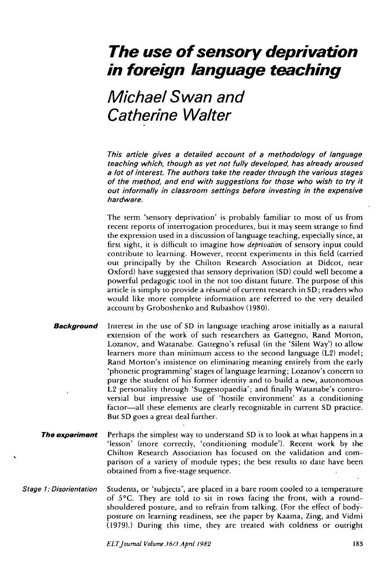## **The use of sensory deprivation in foreign language teaching**

## Michael Swan and Catherine Walter

This article gives a detailed account of a methodology of language teaching which, though as yet not fully developed, has already aroused a lot of interest. The authors take the reader through the various stages of the method, and end with suggestions for those who wish to try it out informally in classroom settings before investing in the expensive hardware.

The term 'sensory deprivation' is probably familiar to most of us from recent reports of interrogation procedures, but it may seem strange to find the expression used in a discussion of language teaching, especially since, at first sight, it is difficult to imagine how *deprivation* of sensory input could contribute to learning. However, recent experiments in this field (carried out principally by the Chilton Research Association at Didcot, near Oxford) have suggested that sensory deprivation (SD) could well become a powerful pedagogic tool in the not too distant future. The purpose of this article is simply to provide a résumé of current research in SD; readers who would like more complete information are referred to the very detailed account by Groboshenko and Rubashov (1980).

- **Background** Interest in the use of SD in language teaching arose initially as a natural extension of the work of such researchers as Gattegno, Rand Morton, Lozanov, and Watanabe. Gattegno's refusal (in the 'Silent Way') to allow learners more than minimum access to the second language (L2) model; Rand Morton's insistence on eliminating meaning entirely from the early 'phonetic programming' stages of language learning; Lozanov's concern to purge the student of his former identity and to build a new, autonomous L2 personality through 'Suggestopaedia'; and finally Watanabe's controversial but impressive use of 'hostile environment' as a conditioning factor—all these elements are clearly recognizable in current SD practice. But SD goes a great deal further.
- **The experiment** Perhaps the simplest way to understand SD is to look at what happens in a 'lesson' (more correctly, 'conditioning module'). Recent work by the Chilton Research Association has focused on the validation and comparison of a variety of module types; the best results to date have been obtained from a five-stage sequence.
- Stage 1: Disorientation Students, or 'subjects'', are placed in a bare room cooled to a temperature of 5°C. They are told to sit in rows facing the front, with a roundshouldered posture, and to refrain from talking. (For the effect of bodyposture on learning readiness, see the paper by Kaama, Zing, and Vidmi (1979).) During this time, they are treated with coldness or outright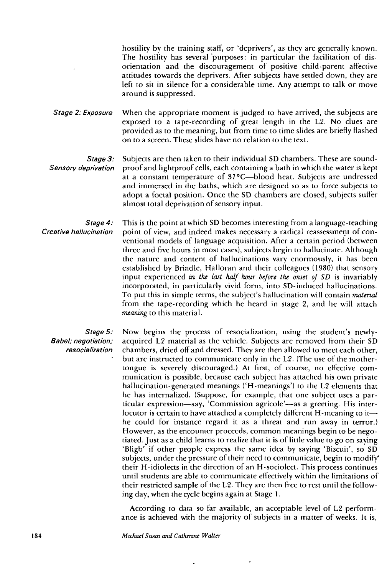hostility by the training staff, or 'deprivers', as they are generally known. The hostility has several purposes: in particular the facilitation of disorientation and the discouragement of positive child-parent affective attitudes towards the deprivers. After subjects have settled down, they are left to sit in silence for a considerable time. Any attempt to talk or move around is suppressed.

Stage 2: Exposure When the appropriate moment is judged to have arrived, the subjects are exposed to a tape-recording of great length in the L2. No clues are provided as to the meaning, but from time to time slides are briefly Hashed on to a screen. These slides have no relation to the text.

Stage 3: Sensory deprivation Subjects are then taken to their individual SD chambers. These are soundproof and lightproof cells, each containing a bath in which the water is kept at a constant temperature of 37 °C—blood heat. Subjects are undressed and immersed in the baths, which are designed so as to force subjects to adopt a foetal position. Once the SD chambers are closed, subjects suffer almost total deprivation of sensory input.

Stage 4: Creative hallucination This is the point at which SD becomes interesting from a language-teaching point of view, and indeed makes necessary a radical reassessment of conventional models of language acquisition. After a certain period (between three and five hours in most cases), subjects begin to hallucinate. Although the nature and content of hallucinations vary enormously, it has been established by Brindle, Halloran and their colleagues (1980) that sensory input experienced *in the last half hour before the onset of SD* is invariably incorporated, in particularly vivid form, into SD-induced hallucinations. To put this in simple terms, the subject's hallucination will contain *material* from the tape-recording which he heard in stage 2, and he will attach *meaning* to this material.

Stage 5: Babel; negotiation; resocialization

Now begins the process of resocialization, using the student's newlyacquired L2 material as the vehicle. Subjects are removed from their SD chambers, dried off and dressed. They are then allowed to meet each other, but are instructed to communicate only in the L2. (The use of the mothertongue is severely discouraged.) At first, of course, no effective communication is possible, because each subject has attached his own private hallucination-generated meanings ('H-meanings') to the L2 elements that he has internalized. (Suppose, for example, that one subject uses a particular expression—say, 'Commission agricole'—as a greeting. His interlocutor is certain to have attached a completely different H-meaning to it he could for instance regard it as a threat and run away in terror.) However, as the encounter proceeds, common meanings begin to be negotiated. Just as a child learns to realize that it is of little value to go on saying 'Bligb' if other people express the same idea by saying 'Biscuit', so SD subjects, under the pressure of their need to communicate, begin to modify' their H-idiolects in the direction of an H-sociolect. This process continues until students are able to communicate effectively within the limitations of their restricted sample of the L2. They are then free to rest until the following day, when the cycle begins again at Stage 1.

According to data so far available, an acceptable level of L2 performance is achieved with the majority of subjects in a matter of weeks. It is,

184 *Michael Swan and Catherine Waller*